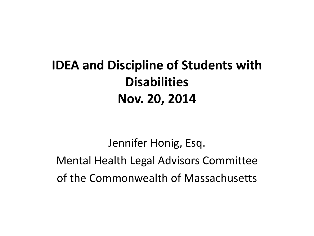#### **IDEA and Discipline of Students with Disabilities Nov. 20, 2014**

Jennifer Honig, Esq. Mental Health Legal Advisors Committee of the Commonwealth of Massachusetts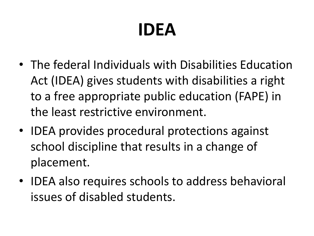# **IDEA**

- The federal Individuals with Disabilities Education Act (IDEA) gives students with disabilities a right to a free appropriate public education (FAPE) in the least restrictive environment.
- IDEA provides procedural protections against school discipline that results in a change of placement.
- IDEA also requires schools to address behavioral issues of disabled students.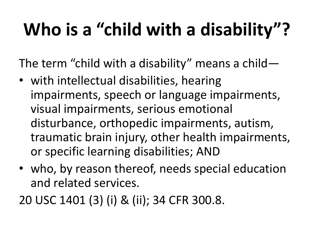# **Who is a "child with a disability"?**

The term "child with a disability" means a child—

- with intellectual disabilities, hearing impairments, speech or language impairments, visual impairments, serious emotional disturbance, orthopedic impairments, autism, traumatic brain injury, other health impairments, or specific learning disabilities; AND
- who, by reason thereof, needs special education and related services.

20 USC 1401 (3) (i) & (ii); 34 CFR 300.8.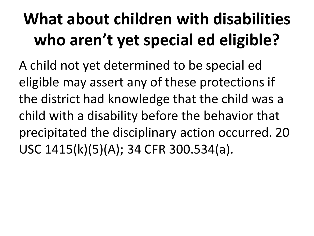### **What about children with disabilities who aren't yet special ed eligible?**

A child not yet determined to be special ed eligible may assert any of these protections if the district had knowledge that the child was a child with a disability before the behavior that precipitated the disciplinary action occurred. 20 USC 1415(k)(5)(A); 34 CFR 300.534(a).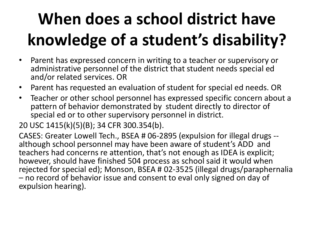### **When does a school district have knowledge of a student's disability?**

- Parent has expressed concern in writing to a teacher or supervisory or administrative personnel of the district that student needs special ed and/or related services. OR
- Parent has requested an evaluation of student for special ed needs. OR
- Teacher or other school personnel has expressed specific concern about a pattern of behavior demonstrated by student directly to director of special ed or to other supervisory personnel in district.

20 USC 1415(k)(5)(B); 34 CFR 300.354(b).

CASES: Greater Lowell Tech., BSEA # 06-2895 (expulsion for illegal drugs - although school personnel may have been aware of student's ADD and teachers had concerns re attention, that's not enough as IDEA is explicit; however, should have finished 504 process as school said it would when rejected for special ed); Monson, BSEA # 02-3525 (illegal drugs/paraphernalia – no record of behavior issue and consent to eval only signed on day of expulsion hearing).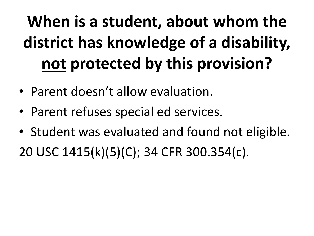# **When is a student, about whom the district has knowledge of a disability, not protected by this provision?**

- Parent doesn't allow evaluation.
- Parent refuses special ed services.
- Student was evaluated and found not eligible.

20 USC 1415(k)(5)(C); 34 CFR 300.354(c).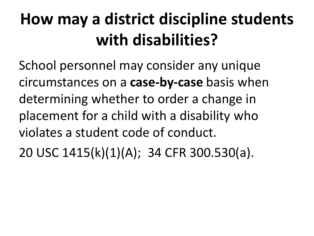#### **How may a district discipline students with disabilities?**

School personnel may consider any unique circumstances on a **case-by-case** basis when determining whether to order a change in placement for a child with a disability who violates a student code of conduct.

20 USC 1415(k)(1)(A); 34 CFR 300.530(a).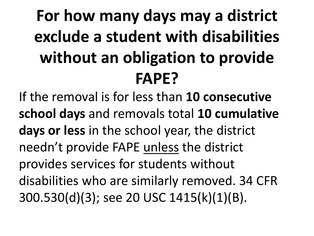#### **For how many days may a district exclude a student with disabilities without an obligation to provide FAPE?**

If the removal is for less than **10 consecutive school days** and removals total **10 cumulative days or less** in the school year, the district needn't provide FAPE unless the district provides services for students without disabilities who are similarly removed. 34 CFR 300.530(d)(3); see 20 USC 1415(k)(1)(B).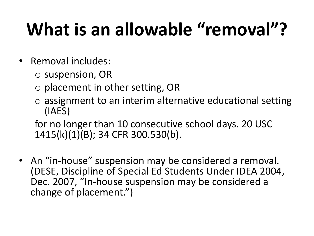# **What is an allowable "removal"?**

- Removal includes:
	- o suspension, OR
	- o placement in other setting, OR
	- o assignment to an interim alternative educational setting (IAES)

for no longer than 10 consecutive school days. 20 USC 1415(k)(1)(B); 34 CFR 300.530(b).

• An "in-house" suspension may be considered a removal. (DESE, Discipline of Special Ed Students Under IDEA 2004, Dec. 2007, "In-house suspension may be considered a change of placement.")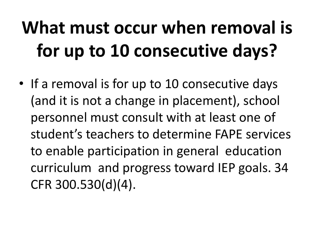# **What must occur when removal is for up to 10 consecutive days?**

• If a removal is for up to 10 consecutive days (and it is not a change in placement), school personnel must consult with at least one of student's teachers to determine FAPE services to enable participation in general education curriculum and progress toward IEP goals. 34 CFR 300.530(d)(4).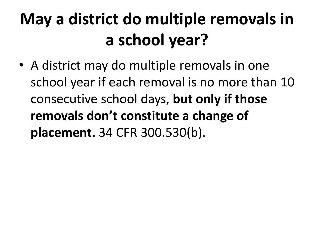#### **May a district do multiple removals in a school year?**

• A district may do multiple removals in one school year if each removal is no more than 10 consecutive school days, **but only if those removals don't constitute a change of placement.** 34 CFR 300.530(b).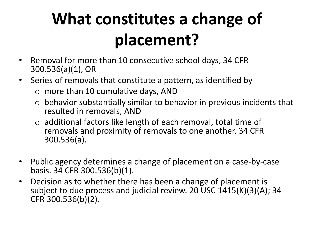#### **What constitutes a change of placement?**

- Removal for more than 10 consecutive school days, 34 CFR 300.536(a)(1), OR
- Series of removals that constitute a pattern, as identified by
	- o more than 10 cumulative days, AND
	- $\circ$  behavior substantially similar to behavior in previous incidents that resulted in removals, AND
	- $\circ$  additional factors like length of each removal, total time of removals and proximity of removals to one another. 34 CFR 300.536(a).
- Public agency determines a change of placement on a case-by-case basis. 34 CFR 300.536(b)(1).
- Decision as to whether there has been a change of placement is subject to due process and judicial review. 20 USC 1415(K)(3)(A); 34 CFR 300.536(b)(2).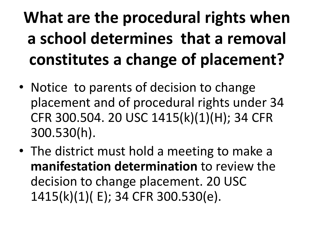### **What are the procedural rights when a school determines that a removal constitutes a change of placement?**

- Notice to parents of decision to change placement and of procedural rights under 34 CFR 300.504. 20 USC 1415(k)(1)(H); 34 CFR 300.530(h).
- The district must hold a meeting to make a **manifestation determination** to review the decision to change placement. 20 USC 1415(k)(1)( E); 34 CFR 300.530(e).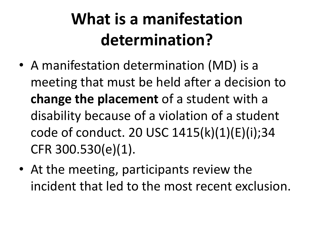#### **What is a manifestation determination?**

- A manifestation determination (MD) is a meeting that must be held after a decision to **change the placement** of a student with a disability because of a violation of a student code of conduct. 20 USC 1415(k)(1)(E)(i);34 CFR 300.530(e)(1).
- At the meeting, participants review the incident that led to the most recent exclusion.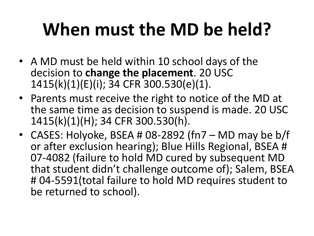# **When must the MD be held?**

- A MD must be held within 10 school days of the decision to **change the placement**. 20 USC 1415(k)(1)(E)(i); 34 CFR 300.530(e)(1).
- Parents must receive the right to notice of the MD at the same time as decision to suspend is made. 20 USC 1415(k)(1)(H); 34 CFR 300.530(h).
- CASES: Holyoke, BSEA # 08-2892 (fn7 MD may be b/f or after exclusion hearing); Blue Hills Regional, BSEA # 07-4082 (failure to hold MD cured by subsequent MD that student didn't challenge outcome of); Salem, BSEA # 04-5591(total failure to hold MD requires student to be returned to school).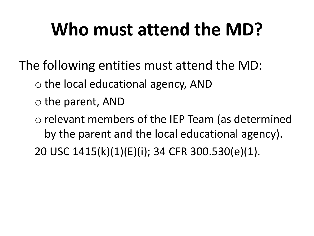# **Who must attend the MD?**

- The following entities must attend the MD:
	- o the local educational agency, AND
	- o the parent, AND
	- o relevant members of the IEP Team (as determined by the parent and the local educational agency).
	- 20 USC 1415(k)(1)(E)(i); 34 CFR 300.530(e)(1).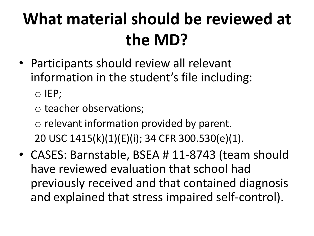#### **What material should be reviewed at the MD?**

- Participants should review all relevant information in the student's file including: o IEP;
	- o teacher observations;

o relevant information provided by parent. 20 USC 1415(k)(1)(E)(i); 34 CFR 300.530(e)(1).

• CASES: Barnstable, BSEA # 11-8743 (team should have reviewed evaluation that school had previously received and that contained diagnosis and explained that stress impaired self-control).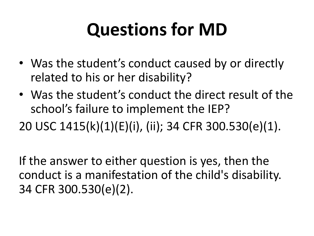# **Questions for MD**

- Was the student's conduct caused by or directly related to his or her disability?
- Was the student's conduct the direct result of the school's failure to implement the IEP?

20 USC 1415(k)(1)(E)(i), (ii); 34 CFR 300.530(e)(1).

If the answer to either question is yes, then the conduct is a manifestation of the child's disability. 34 CFR 300.530(e)(2).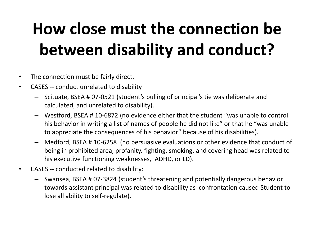#### **How close must the connection be between disability and conduct?**

- The connection must be fairly direct.
- CASES -- conduct unrelated to disability
	- Scituate, BSEA # 07-0521 (student's pulling of principal's tie was deliberate and calculated, and unrelated to disability).
	- Westford, BSEA # 10-6872 (no evidence either that the student "was unable to control his behavior in writing a list of names of people he did not like" or that he "was unable to appreciate the consequences of his behavior" because of his disabilities).
	- Medford, BSEA # 10-6258 (no persuasive evaluations or other evidence that conduct of being in prohibited area, profanity, fighting, smoking, and covering head was related to his executive functioning weaknesses, ADHD, or LD).
- CASES -- conducted related to disability:
	- Swansea, BSEA # 07-3824 (student's threatening and potentially dangerous behavior towards assistant principal was related to disability as confrontation caused Student to lose all ability to self-regulate).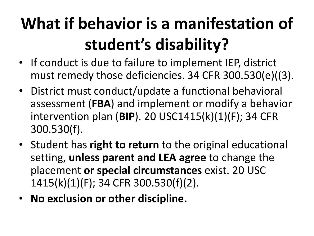### **What if behavior is a manifestation of student's disability?**

- If conduct is due to failure to implement IEP, district must remedy those deficiencies. 34 CFR 300.530(e)((3).
- District must conduct/update a functional behavioral assessment (**FBA**) and implement or modify a behavior intervention plan (**BIP**). 20 USC1415(k)(1)(F); 34 CFR 300.530(f).
- Student has **right to return** to the original educational setting, **unless parent and LEA agree** to change the placement **or special circumstances** exist. 20 USC 1415(k)(1)(F); 34 CFR 300.530(f)(2).
- **No exclusion or other discipline.**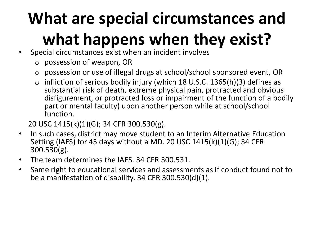# **What are special circumstances and what happens when they exist?**

- Special circumstances exist when an incident involves
	- o possession of weapon, OR
	- o possession or use of illegal drugs at school/school sponsored event, OR
	- $\circ$  infliction of serious bodily injury (which 18 U.S.C. 1365(h)(3) defines as substantial risk of death, extreme physical pain, protracted and obvious disfigurement, or protracted loss or impairment of the function of a bodily part or mental faculty) upon another person while at school/school function.

20 USC 1415(k)(1)(G); 34 CFR 300.530(g).

- In such cases, district may move student to an Interim Alternative Education Setting (IAES) for 45 days without a MD. 20 USC 1415(k)(1)(G); 34 CFR 300.530(g).
- The team determines the IAES. 34 CFR 300.531.
- Same right to educational services and assessments as if conduct found not to be a manifestation of disability. 34 CFR 300.530(d)(1).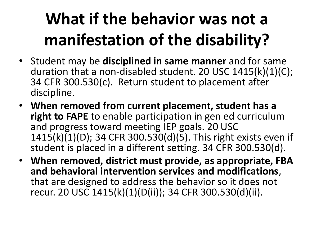### **What if the behavior was not a manifestation of the disability?**

- Student may be **disciplined in same manner** and for same duration that a non-disabled student. 20 USC 1415(k)(1)(C); 34 CFR 300.530(c). Return student to placement after discipline.
- **When removed from current placement, student has a right to FAPE** to enable participation in gen ed curriculum and progress toward meeting IEP goals. 20 USC 1415(k)(1)(D); 34 CFR 300.530(d)(5). This right exists even if student is placed in a different setting. 34 CFR 300.530(d).
- **When removed, district must provide, as appropriate, FBA and behavioral intervention services and modifications**, that are designed to address the behavior so it does not recur. 20 USC 1415(k)(1)(D(ii)); 34 CFR 300.530(d)(ii).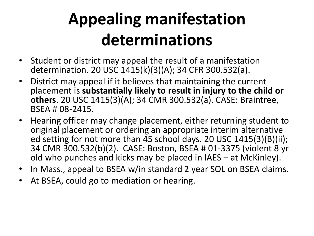#### **Appealing manifestation determinations**

- Student or district may appeal the result of a manifestation determination. 20 USC 1415(k)(3)(A); 34 CFR 300.532(a).
- District may appeal if it believes that maintaining the current placement is **substantially likely to result in injury to the child or others**. 20 USC 1415(3)(A); 34 CMR 300.532(a). CASE: Braintree, BSEA # 08-2415.
- Hearing officer may change placement, either returning student to original placement or ordering an appropriate interim alternative ed setting for not more than 45 school days. 20 USC 1415(3)(B)(ii); 34 CMR 300.532(b)(2). CASE: Boston, BSEA # 01-3375 (violent 8 yr old who punches and kicks may be placed in IAES – at McKinley).
- In Mass., appeal to BSEA w/in standard 2 year SOL on BSEA claims.
- At BSEA, could go to mediation or hearing.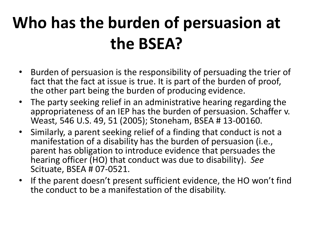#### **Who has the burden of persuasion at the BSEA?**

- Burden of persuasion is the responsibility of persuading the trier of fact that the fact at issue is true. It is part of the burden of proof, the other part being the burden of producing evidence.
- The party seeking relief in an administrative hearing regarding the appropriateness of an IEP has the burden of persuasion. Schaffer v. Weast, 546 U.S. 49, 51 (2005); Stoneham, BSEA # 13-00160.
- Similarly, a parent seeking relief of a finding that conduct is not a manifestation of a disability has the burden of persuasion (i.e., parent has obligation to introduce evidence that persuades the hearing officer (HO) that conduct was due to disability). *See*  Scituate, BSEA # 07-0521.
- If the parent doesn't present sufficient evidence, the HO won't find the conduct to be a manifestation of the disability.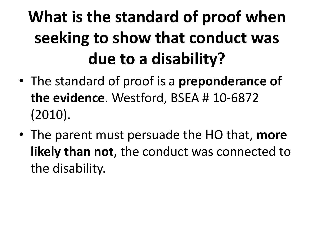### **What is the standard of proof when seeking to show that conduct was due to a disability?**

- The standard of proof is a **preponderance of the evidence**. Westford, BSEA # 10-6872 (2010).
- The parent must persuade the HO that, **more likely than not**, the conduct was connected to the disability.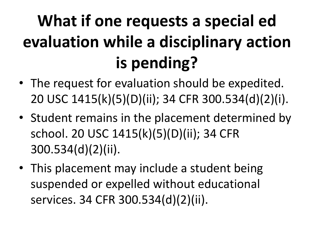# **What if one requests a special ed evaluation while a disciplinary action is pending?**

- The request for evaluation should be expedited. 20 USC 1415(k)(5)(D)(ii); 34 CFR 300.534(d)(2)(i).
- Student remains in the placement determined by school. 20 USC 1415(k)(5)(D)(ii); 34 CFR 300.534(d)(2)(ii).
- This placement may include a student being suspended or expelled without educational services. 34 CFR 300.534(d)(2)(ii).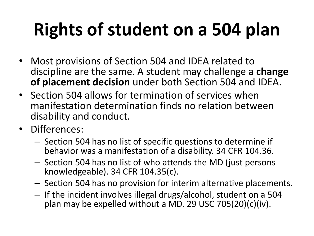# **Rights of student on a 504 plan**

- Most provisions of Section 504 and IDEA related to discipline are the same. A student may challenge a **change of placement decision** under both Section 504 and IDEA.
- Section 504 allows for termination of services when manifestation determination finds no relation between disability and conduct.
- Differences:
	- Section 504 has no list of specific questions to determine if behavior was a manifestation of a disability. 34 CFR 104.36.
	- Section 504 has no list of who attends the MD (just persons knowledgeable). 34 CFR 104.35(c).
	- Section 504 has no provision for interim alternative placements.
	- If the incident involves illegal drugs/alcohol, student on a 504 plan may be expelled without a MD. 29 USC 705(20)(c)(iv).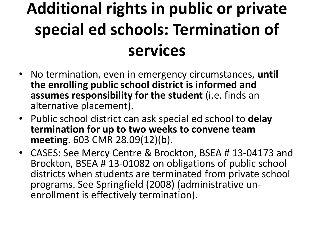#### **Additional rights in public or private special ed schools: Termination of services**

- No termination, even in emergency circumstances, **until the enrolling public school district is informed and assumes responsibility for the student** (i.e. finds an alternative placement).
- Public school district can ask special ed school to **delay termination for up to two weeks to convene team meeting**. 603 CMR 28.09(12)(b).
- CASES: See Mercy Centre & Brockton, BSEA # 13-04173 and Brockton, BSEA # 13-01082 on obligations of public school districts when students are terminated from private school programs. See Springfield (2008) (administrative unenrollment is effectively termination).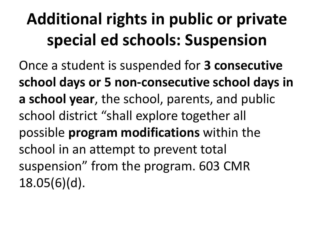#### **Additional rights in public or private special ed schools: Suspension**

Once a student is suspended for **3 consecutive school days or 5 non-consecutive school days in a school year**, the school, parents, and public school district "shall explore together all possible **program modifications** within the school in an attempt to prevent total suspension" from the program. 603 CMR 18.05(6)(d).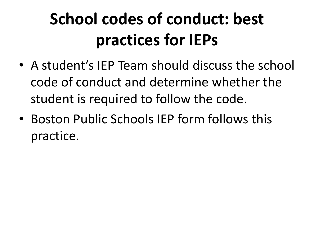#### **School codes of conduct: best practices for IEPs**

- A student's IEP Team should discuss the school code of conduct and determine whether the student is required to follow the code.
- Boston Public Schools IEP form follows this practice.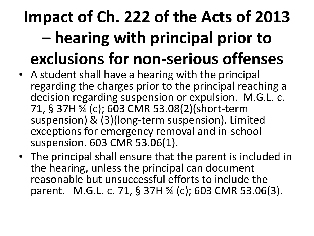### **Impact of Ch. 222 of the Acts of 2013 – hearing with principal prior to exclusions for non-serious offenses**

- A student shall have a hearing with the principal regarding the charges prior to the principal reaching a decision regarding suspension or expulsion. M.G.L. c. 71, § 37H ¾ (c); 603 CMR 53.08(2)(short-term suspension) & (3)(long-term suspension). Limited exceptions for emergency removal and in-school suspension. 603 CMR 53.06(1).
- The principal shall ensure that the parent is included in the hearing, unless the principal can document reasonable but unsuccessful efforts to include the parent. M.G.L. c. 71, § 37H ¾ (c); 603 CMR 53.06(3).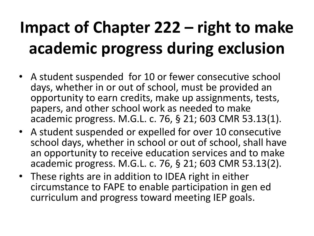#### **Impact of Chapter 222 – right to make academic progress during exclusion**

- A student suspended for 10 or fewer consecutive school days, whether in or out of school, must be provided an opportunity to earn credits, make up assignments, tests, papers, and other school work as needed to make academic progress. M.G.L. c. 76, § 21; 603 CMR 53.13(1).
- A student suspended or expelled for over 10 consecutive school days, whether in school or out of school, shall have an opportunity to receive education services and to make academic progress. M.G.L. c. 76, § 21; 603 CMR 53.13(2).
- These rights are in addition to IDEA right in either circumstance to FAPE to enable participation in gen ed curriculum and progress toward meeting IEP goals.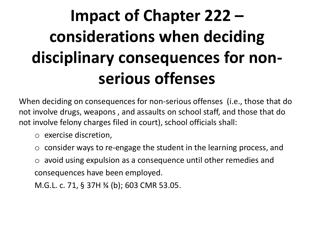#### **Impact of Chapter 222 – considerations when deciding disciplinary consequences for nonserious offenses**

When deciding on consequences for non-serious offenses (i.e., those that do not involve drugs, weapons , and assaults on school staff, and those that do not involve felony charges filed in court), school officials shall:

- o exercise discretion,
- consider ways to re-engage the student in the learning process, and
- o avoid using expulsion as a consequence until other remedies and consequences have been employed.

M.G.L. c. 71, § 37H ¾ (b); 603 CMR 53.05.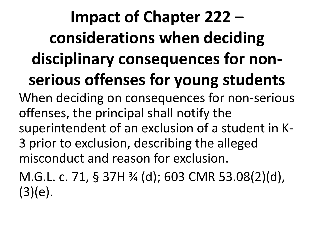**Impact of Chapter 222 – considerations when deciding disciplinary consequences for nonserious offenses for young students** When deciding on consequences for non-serious offenses, the principal shall notify the superintendent of an exclusion of a student in K-3 prior to exclusion, describing the alleged misconduct and reason for exclusion. M.G.L. c. 71, § 37H ¾ (d); 603 CMR 53.08(2)(d),  $(3)(e).$